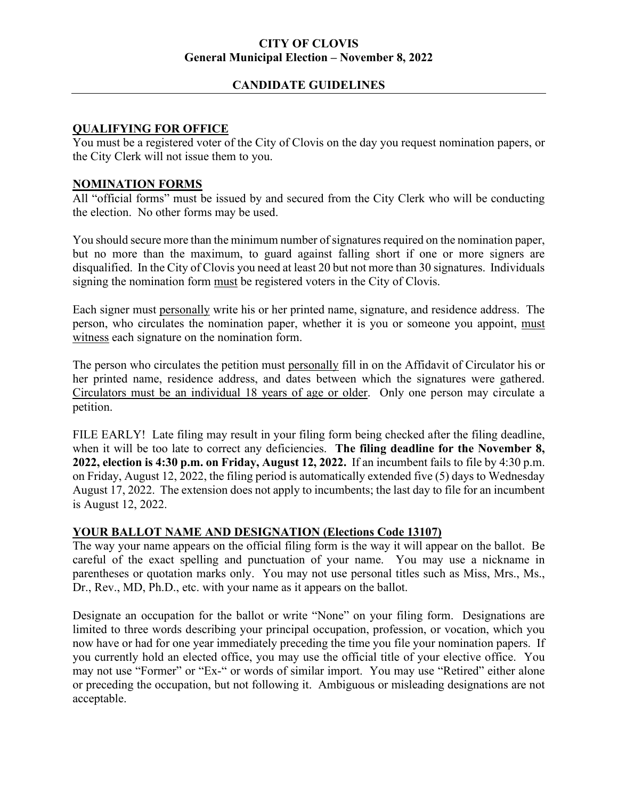#### **CITY OF CLOVIS General Municipal Election – November 8, 2022**

### **CANDIDATE GUIDELINES**

### **QUALIFYING FOR OFFICE**

You must be a registered voter of the City of Clovis on the day you request nomination papers, or the City Clerk will not issue them to you.

#### **NOMINATION FORMS**

All "official forms" must be issued by and secured from the City Clerk who will be conducting the election. No other forms may be used.

You should secure more than the minimum number of signatures required on the nomination paper, but no more than the maximum, to guard against falling short if one or more signers are disqualified. In the City of Clovis you need at least 20 but not more than 30 signatures. Individuals signing the nomination form must be registered voters in the City of Clovis.

Each signer must personally write his or her printed name, signature, and residence address. The person, who circulates the nomination paper, whether it is you or someone you appoint, must witness each signature on the nomination form.

The person who circulates the petition must personally fill in on the Affidavit of Circulator his or her printed name, residence address, and dates between which the signatures were gathered. Circulators must be an individual 18 years of age or older. Only one person may circulate a petition.

FILE EARLY! Late filing may result in your filing form being checked after the filing deadline, when it will be too late to correct any deficiencies. **The filing deadline for the November 8, 2022, election is 4:30 p.m. on Friday, August 12, 2022.** If an incumbent fails to file by 4:30 p.m. on Friday, August 12, 2022, the filing period is automatically extended five (5) days to Wednesday August 17, 2022. The extension does not apply to incumbents; the last day to file for an incumbent is August 12, 2022.

#### **YOUR BALLOT NAME AND DESIGNATION (Elections Code 13107)**

The way your name appears on the official filing form is the way it will appear on the ballot. Be careful of the exact spelling and punctuation of your name. You may use a nickname in parentheses or quotation marks only. You may not use personal titles such as Miss, Mrs., Ms., Dr., Rev., MD, Ph.D., etc. with your name as it appears on the ballot.

Designate an occupation for the ballot or write "None" on your filing form. Designations are limited to three words describing your principal occupation, profession, or vocation, which you now have or had for one year immediately preceding the time you file your nomination papers. If you currently hold an elected office, you may use the official title of your elective office. You may not use "Former" or "Ex-" or words of similar import. You may use "Retired" either alone or preceding the occupation, but not following it. Ambiguous or misleading designations are not acceptable.